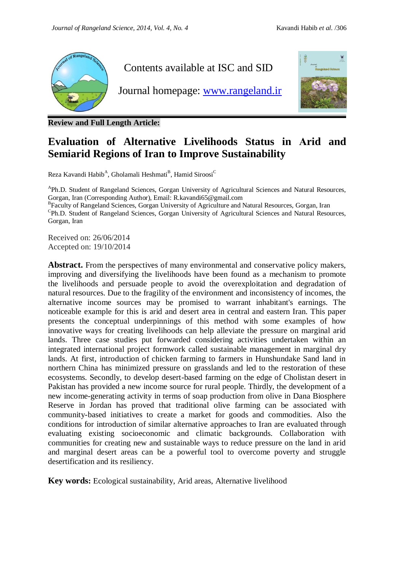

**Review and Full Length Article:**

# **Evaluation of Alternative Livelihoods Status in Arid and Semiarid Regions of Iran to Improve Sustainability**

Reza Kavandi Habib<sup>A</sup>, Gholamali Heshmati<sup>B</sup>, Hamid Siroosi<sup>C</sup>

<sup>A</sup>Ph.D. Student of Rangeland Sciences, Gorgan University of Agricultural Sciences and Natural Resources, Gorgan, Iran (Corresponding Author), Email[: R.kavandi65@gmail.com](mailto:R.kavandi65@gmail.com)

<sup>B</sup>Faculty of Rangeland Sciences, Gorgan University of Agriculture and Natural Resources, Gorgan, Iran <sup>C</sup>Ph.D. Student of Rangeland Sciences, Gorgan University of Agricultural Sciences and Natural Resources, Gorgan, Iran

Received on: 26/06/2014 Accepted on: 19/10/2014

Abstract. From the perspectives of many environmental and conservative policy makers, improving and diversifying the livelihoods have been found as a mechanism to promote the livelihoods and persuade people to avoid the overexploitation and degradation of natural resources. Due to the fragility of the environment and inconsistency of incomes, the alternative income sources may be promised to warrant inhabitant's earnings. The noticeable example for this is arid and desert area in central and eastern Iran. This paper presents the conceptual underpinnings of this method with some examples of how innovative ways for creating livelihoods can help alleviate the pressure on marginal arid lands. Three case studies put forwarded considering activities undertaken within an integrated international project formwork called sustainable management in marginal dry lands. At first, introduction of chicken farming to farmers in Hunshundake Sand land in northern China has minimized pressure on grasslands and led to the restoration of these ecosystems. Secondly, to develop desert-based farming on the edge of Cholistan desert in Pakistan has provided a new income source for rural people. Thirdly, the development of a new income-generating activity in terms of soap production from olive in Dana Biosphere Reserve in Jordan has proved that traditional olive farming can be associated with community-based initiatives to create a market for goods and commodities. Also the conditions for introduction of similar alternative approaches to Iran are evaluated through evaluating existing socioeconomic and climatic backgrounds. Collaboration with communities for creating new and sustainable ways to reduce pressure on the land in arid and marginal desert areas can be a powerful tool to overcome poverty and struggle desertification and its resiliency.

**Key words:** Ecological sustainability, Arid areas, Alternative livelihood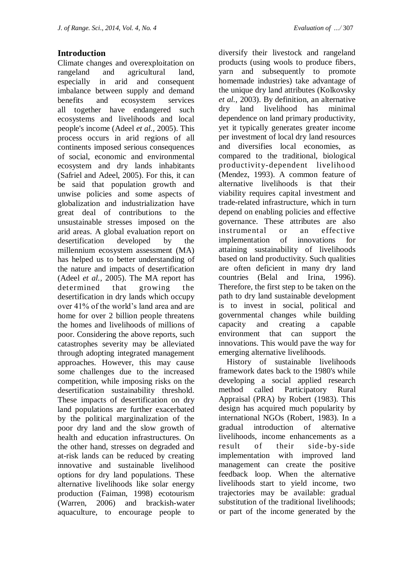# **Introduction**

Climate changes and overexploitation on rangeland and agricultural land, especially in arid and consequent imbalance between supply and demand benefits and ecosystem services all together have endangered such ecosystems and livelihoods and local people's income (Adeel *et al.,* 2005). This process occurs in arid regions of all continents imposed serious consequences of social, economic and environmental ecosystem and dry lands inhabitants (Safriel and Adeel, 2005). For this, it can be said that population growth and unwise policies and some aspects of globalization and industrialization have great deal of contributions to the unsustainable stresses imposed on the arid areas. A global evaluation report on desertification developed by the millennium ecosystem assessment (MA) has helped us to better understanding of the nature and impacts of desertification (Adeel *et al.,* 2005). The MA report has determined that growing the desertification in dry lands which occupy over 41% of the world's land area and are home for over 2 billion people threatens the homes and livelihoods of millions of poor. Considering the above reports, such catastrophes severity may be alleviated through adopting integrated management approaches. However, this may cause some challenges due to the increased competition, while imposing risks on the desertification sustainability threshold. These impacts of desertification on dry land populations are further exacerbated by the political marginalization of the poor dry land and the slow growth of health and education infrastructures. On the other hand, stresses on degraded and at-risk lands can be reduced by creating innovative and sustainable livelihood options for dry land populations. These alternative livelihoods like solar energy production (Faiman, 1998) ecotourism (Warren, 2006) and brackish-water aquaculture, to encourage people to

diversify their livestock and rangeland products (using wools to produce fibers, yarn and subsequently to promote homemade industries) take advantage of the unique dry land attributes (Kolkovsky *et al.,* 2003). By definition, an alternative dry land livelihood has minimal dependence on land primary productivity, yet it typically generates greater income per investment of local dry land resources and diversifies local economies, as compared to the traditional, biological productivity-dependent livelihood (Mendez, 1993). A common feature of alternative livelihoods is that their viability requires capital investment and trade-related infrastructure, which in turn depend on enabling policies and effective governance. These attributes are also instrumental or an effective implementation of innovations for attaining sustainability of livelihoods based on land productivity. Such qualities are often deficient in many dry land countries (Belal and Irina, 1996). Therefore, the first step to be taken on the path to dry land sustainable development is to invest in social, political and governmental changes while building capacity and creating a capable environment that can support the innovations. This would pave the way for emerging alternative livelihoods.

 History of sustainable livelihoods framework dates back to the 1980's while developing a social applied research method called Participatory Rural Appraisal (PRA) by Robert (1983). This design has acquired much popularity by international NGOs (Robert, 1983). In a gradual introduction of alternative livelihoods, income enhancements as a result of their side-by-side implementation with improved land management can create the positive feedback loop. When the alternative livelihoods start to yield income, two trajectories may be available: gradual substitution of the traditional livelihoods; or part of the income generated by the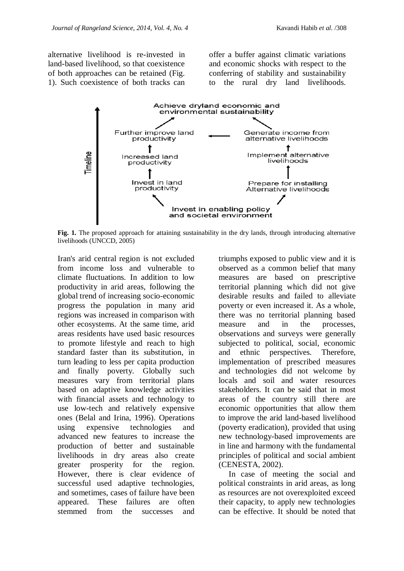alternative livelihood is re-invested in land-based livelihood, so that coexistence of both approaches can be retained (Fig. 1). Such coexistence of both tracks can

offer a buffer against climatic variations and economic shocks with respect to the conferring of stability and sustainability to the rural dry land livelihoods.



**Fig. 1.** The proposed approach for attaining sustainability in the dry lands, through introducing alternative livelihoods (UNCCD, 2005)

Iran's arid central region is not excluded from income loss and vulnerable to climate fluctuations. In addition to low productivity in arid areas, following the global trend of increasing socio-economic progress the population in many arid regions was increased in comparison with other ecosystems. At the same time, arid areas residents have used basic resources to promote lifestyle and reach to high standard faster than its substitution, in turn leading to less per capita production and finally poverty. Globally such measures vary from territorial plans based on adaptive knowledge activities with financial assets and technology to use low-tech and relatively expensive ones (Belal and Irina, 1996). Operations using expensive technologies and advanced new features to increase the production of better and sustainable livelihoods in dry areas also create greater prosperity for the region. However, there is clear evidence of successful used adaptive technologies, and sometimes, cases of failure have been appeared. These failures are often stemmed from the successes and

triumphs exposed to public view and it is observed as a common belief that many measures are based on prescriptive territorial planning which did not give desirable results and failed to alleviate poverty or even increased it. As a whole, there was no territorial planning based measure and in the processes, observations and surveys were generally subjected to political, social, economic and ethnic perspectives. Therefore, implementation of prescribed measures and technologies did not welcome by locals and soil and water resources stakeholders. It can be said that in most areas of the country still there are economic opportunities that allow them to improve the arid land-based livelihood (poverty eradication), provided that using new technology-based improvements are in line and harmony with the fundamental principles of political and social ambient (CENESTA, 2002).

 In case of meeting the social and political constraints in arid areas, as long as resources are not overexploited exceed their capacity, to apply new technologies can be effective. It should be noted that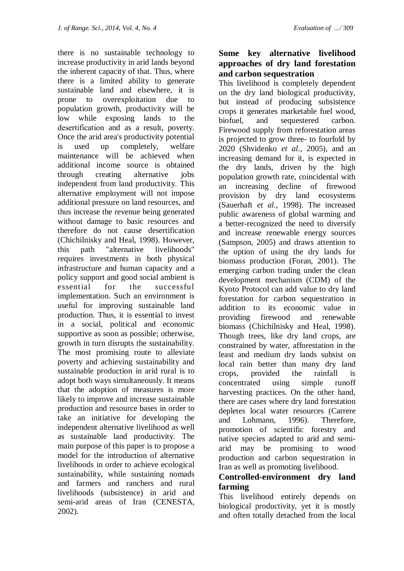there is no sustainable technology to increase productivity in arid lands beyond the inherent capacity of that. Thus, where there is a limited ability to generate sustainable land and elsewhere, it is prone to overexploitation due to population growth, productivity will be low while exposing lands to the desertification and as a result, poverty. Once the arid area's productivity potential is used up completely, welfare maintenance will be achieved when additional income source is obtained through creating alternative jobs independent from land productivity. This alternative employment will not impose additional pressure on land resources, and thus increase the revenue being generated without damage to basic resources and therefore do not cause desertification (Chichilnisky and Heal, 1998). However, this path "alternative livelihoods" requires investments in both physical infrastructure and human capacity and a policy support and good social ambient is essential for the successful implementation. Such an environment is useful for improving sustainable land production. Thus, it is essential to invest in a social, political and economic supportive as soon as possible; otherwise, growth in turn disrupts the sustainability. The most promising route to alleviate poverty and achieving sustainability and sustainable production in arid rural is to adopt both ways simultaneously. It means that the adoption of measures is more likely to improve and increase sustainable production and resource bases in order to take an initiative for developing the independent alternative livelihood as well as sustainable land productivity. The main purpose of this paper is to propose a model for the introduction of alternative livelihoods in order to achieve ecological sustainability, while sustaining nomads and farmers and ranchers and rural livelihoods (subsistence) in arid and semi-arid areas of Iran (CENESTA, 2002).

# **Some key alternative livelihood approaches of dry land forestation and carbon sequestration**

This livelihood is completely dependent on the dry land biological productivity, but instead of producing subsistence crops it generates marketable fuel wood, biofuel, and sequestered carbon. Firewood supply from reforestation areas is projected to grow three- to fourfold by 2020 (Shvidenko *et al.,* 2005), and an increasing demand for it, is expected in the dry lands, driven by the high population growth rate, coincidental with an increasing decline of firewood provision by dry land ecosystems (Sauerhaft *et al.,* 1998). The increased public awareness of global warming and a better-recognized the need to diversify and increase renewable energy sources (Sampson, 2005) and draws attention to the option of using the dry lands for biomass production (Foran, 2001). The emerging carbon trading under the clean development mechanism (CDM) of the Kyoto Protocol can add value to dry land forestation for carbon sequestration in addition to its economic value in providing firewood and renewable biomass (Chichilnisky and Heal, 1998). Though trees, like dry land crops, are constrained by water, afforestation in the least and medium dry lands subsist on local rain better than many dry land crops, provided the rainfall is concentrated using simple runoff harvesting practices. On the other hand, there are cases where dry land forestation depletes local water resources (Carrere and Lohmann, 1996). Therefore, promotion of scientific forestry and native species adapted to arid and semiarid may be promising to wood production and carbon sequestration in Iran as well as promoting livelihood.

# **Controlled-environment dry land farming**

This livelihood entirely depends on biological productivity, yet it is mostly and often totally detached from the local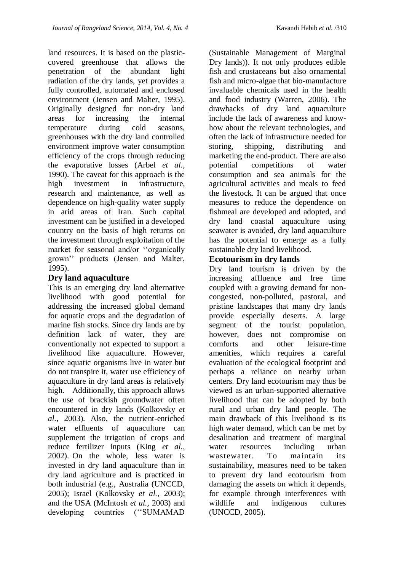land resources. It is based on the plasticcovered greenhouse that allows the penetration of the abundant light radiation of the dry lands, yet provides a fully controlled, automated and enclosed environment (Jensen and Malter, 1995). Originally designed for non-dry land areas for increasing the internal temperature during cold seasons, greenhouses with the dry land controlled environment improve water consumption efficiency of the crops through reducing the evaporative losses (Arbel *et al.,* 1990). The caveat for this approach is the high investment in infrastructure, research and maintenance, as well as dependence on high-quality water supply in arid areas of Iran. Such capital investment can be justified in a developed country on the basis of high returns on the investment through exploitation of the market for seasonal and/or "organically" grown'' products (Jensen and Malter, 1995).

# **Dry land aquaculture**

This is an emerging dry land alternative livelihood with good potential for addressing the increased global demand for aquatic crops and the degradation of marine fish stocks. Since dry lands are by definition lack of water, they are conventionally not expected to support a livelihood like aquaculture. However, since aquatic organisms live in water but do not transpire it, water use efficiency of aquaculture in dry land areas is relatively high. Additionally, this approach allows the use of brackish groundwater often encountered in dry lands (Kolkovsky *et al.,* 2003). Also, the nutrient-enriched water effluents of aquaculture can supplement the irrigation of crops and reduce fertilizer inputs (King *et al.,* 2002). On the whole, less water is invested in dry land aquaculture than in dry land agriculture and is practiced in both industrial (e.g., Australia (UNCCD, 2005); Israel (Kolkovsky *et al.,* 2003); and the USA (McIntosh *et al.,* 2003) and developing countries ("SUMAMAD

(Sustainable Management of Marginal Dry lands)). It not only produces edible fish and crustaceans but also ornamental fish and micro-algae that bio-manufacture invaluable chemicals used in the health and food industry (Warren, 2006). The drawbacks of dry land aquaculture include the lack of awareness and knowhow about the relevant technologies, and often the lack of infrastructure needed for storing, shipping, distributing and marketing the end-product. There are also potential competitions of water consumption and sea animals for the agricultural activities and meals to feed the livestock. It can be argued that once measures to reduce the dependence on fishmeal are developed and adopted, and dry land coastal aquaculture using seawater is avoided, dry land aquaculture has the potential to emerge as a fully sustainable dry land livelihood.

# **Ecotourism in dry lands**

Dry land tourism is driven by the increasing affluence and free time coupled with a growing demand for noncongested, non-polluted, pastoral, and pristine landscapes that many dry lands provide especially deserts. A large segment of the tourist population, however, does not compromise on comforts and other leisure-time amenities, which requires a careful evaluation of the ecological footprint and perhaps a reliance on nearby urban centers. Dry land ecotourism may thus be viewed as an urban-supported alternative livelihood that can be adopted by both rural and urban dry land people. The main drawback of this livelihood is its high water demand, which can be met by desalination and treatment of marginal water resources including urban wastewater. To maintain its sustainability, measures need to be taken to prevent dry land ecotourism from damaging the assets on which it depends, for example through interferences with wildlife and indigenous cultures (UNCCD, 2005).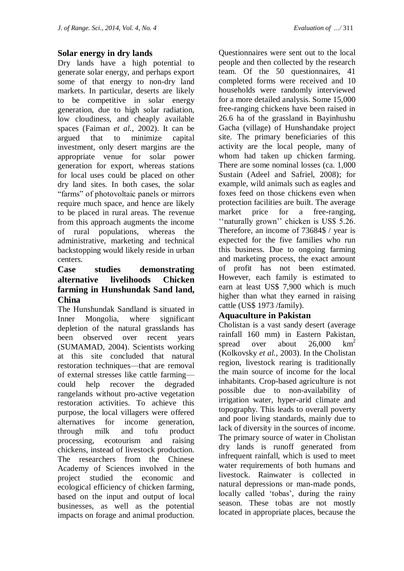#### **Solar energy in dry lands**

Dry lands have a high potential to generate solar energy, and perhaps export some of that energy to non-dry land markets. In particular, deserts are likely to be competitive in solar energy generation, due to high solar radiation, low cloudiness, and cheaply available spaces (Faiman *et al.,* 2002). It can be argued that to minimize capital investment, only desert margins are the appropriate venue for solar power generation for export, whereas stations for local uses could be placed on other dry land sites. In both cases, the solar ―farms‖ of photovoltaic panels or mirrors require much space, and hence are likely to be placed in rural areas. The revenue from this approach augments the income of rural populations, whereas the administrative, marketing and technical backstopping would likely reside in urban centers.

# **Case studies demonstrating alternative livelihoods Chicken farming in Hunshundak Sand land, China**

The Hunshundak Sandland is situated in Inner Mongolia, where significant depletion of the natural grasslands has been observed over recent years (SUMAMAD, 2004). Scientists working at this site concluded that natural restoration techniques—that are removal of external stresses like cattle farming could help recover the degraded rangelands without pro-active vegetation restoration activities. To achieve this purpose, the local villagers were offered alternatives for income generation, through milk and tofu product processing, ecotourism and raising chickens, instead of livestock production. The researchers from the Chinese Academy of Sciences involved in the project studied the economic and ecological efficiency of chicken farming, based on the input and output of local businesses, as well as the potential impacts on forage and animal production.

Questionnaires were sent out to the local people and then collected by the research team. Of the 50 questionnaires, 41 completed forms were received and 10 households were randomly interviewed for a more detailed analysis. Some 15,000 free-ranging chickens have been raised in 26.6 ha of the grassland in Bayinhushu Gacha (village) of Hunshandake project site. The primary beneficiaries of this activity are the local people, many of whom had taken up chicken farming. There are some nominal losses (ca. 1,000 Sustain (Adeel and [Safriel,](http://link.springer.com/search?facet-author=%22Uriel+Safriel%22) 2008); for example, wild animals such as eagles and foxes feed on those chickens even when protection facilities are built. The average market price for a free-ranging, "naturally grown" chicken is US\$ 5.26. Therefore, an income of 73684\$ / year is expected for the five families who run this business. Due to ongoing farming and marketing process, the exact amount of profit has not been estimated. However, each family is estimated to earn at least US\$ 7,900 which is much higher than what they earned in raising cattle (US\$ 1973 /family).

#### **Aquaculture in Pakistan**

Cholistan is a vast sandy desert (average rainfall 160 mm) in Eastern Pakistan, spread over about  $26,000 \text{ km}^2$ (Kolkovsky *et al.,* 2003). In the Cholistan region, livestock rearing is traditionally the main source of income for the local inhabitants. Crop-based agriculture is not possible due to non-availability of irrigation water, hyper-arid climate and topography. This leads to overall poverty and poor living standards, mainly due to lack of diversity in the sources of income. The primary source of water in Cholistan dry lands is runoff generated from infrequent rainfall, which is used to meet water requirements of both humans and livestock. Rainwater is collected in natural depressions or man-made ponds, locally called 'tobas', during the rainy season. These tobas are not mostly located in appropriate places, because the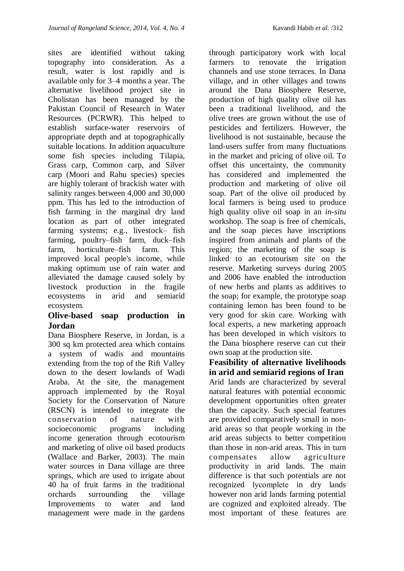sites are identified without taking topography into consideration. As a result, water is lost rapidly and is available only for 3–4 months a year. The alternative livelihood project site in Cholistan has been managed by the Pakistan Council of Research in Water Resources (PCRWR). This helped to establish surface-water reservoirs of appropriate depth and at topographically suitable locations. In addition aquaculture some fish species including Tilapia, Grass carp, Common carp, and Silver carp (Moori and Rahu species) species are highly tolerant of brackish water with salinity ranges between 4,000 and 30,000 ppm. This has led to the introduction of fish farming in the marginal dry land location as part of other integrated farming systems; e.g., livestock– fish farming, poultry–fish farm, duck–fish farm, horticulture–fish farm. This improved local people's income, while making optimum use of rain water and alleviated the damage caused solely by livestock production in the fragile ecosystems in arid and semiarid ecosystem.

#### **Olive-based soap production in Jordan**

Dana Biosphere Reserve, in Jordan, is a 300 sq km protected area which contains a system of wadis and mountains extending from the top of the Rift Valley down to the desert lowlands of Wadi Araba. At the site, the management approach implemented by the Royal Society for the Conservation of Nature (RSCN) is intended to integrate the conservation of nature with socioeconomic programs including income generation through ecotourism and marketing of olive oil based products (Wallace and Barker, 2003). The main water sources in Dana village are three springs, which are used to irrigate about 40 ha of fruit farms in the traditional orchards surrounding the village Improvements to water and land management were made in the gardens

through participatory work with local farmers to renovate the irrigation channels and use stone terraces. In Dana village, and in other villages and towns around the Dana Biosphere Reserve, production of high quality olive oil has been a traditional livelihood, and the olive trees are grown without the use of pesticides and fertilizers. However, the livelihood is not sustainable, because the land-users suffer from many fluctuations in the market and pricing of olive oil. To offset this uncertainty, the community has considered and implemented the production and marketing of olive oil soap. Part of the olive oil produced by local farmers is being used to produce high quality olive oil soap in an *in-situ* workshop. The soap is free of chemicals, and the soap pieces have inscriptions inspired from animals and plants of the region; the marketing of the soap is linked to an ecotourism site on the reserve. Marketing surveys during 2005 and 2006 have enabled the introduction of new herbs and plants as additives to the soap; for example, the prototype soap containing lemon has been found to be very good for skin care. Working with local experts, a new marketing approach has been developed in which visitors to the Dana biosphere reserve can cut their own soap at the production site.

**Feasibility of alternative livelihoods in arid and semiarid regions of Iran** Arid lands are characterized by several natural features with potential economic development opportunities often greater than the capacity. Such special features are provided comparatively small in nonarid areas so that people working in the arid areas subjects to better competition than those in non-arid areas. This in turn compensates allow agriculture productivity in arid lands. The main difference is that such potentials are not recognized lycomplete in dry lands however non arid lands farming potential are cognized and exploited already. The most important of these features are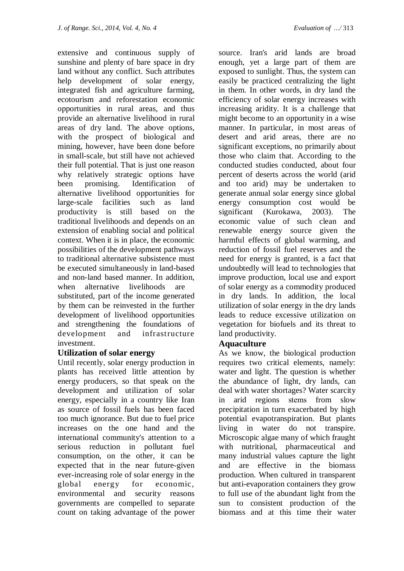extensive and continuous supply of sunshine and plenty of bare space in dry land without any conflict. Such attributes help development of solar energy, integrated fish and agriculture farming, ecotourism and reforestation economic opportunities in rural areas, and thus provide an alternative livelihood in rural areas of dry land. The above options, with the prospect of biological and mining, however, have been done before in small-scale, but still have not achieved their full potential. That is just one reason why relatively strategic options have been promising. Identification of alternative livelihood opportunities for large-scale facilities such as land productivity is still based on the traditional livelihoods and depends on an extension of enabling social and political context. When it is in place, the economic possibilities of the development pathways to traditional alternative subsistence must be executed simultaneously in land-based and non-land based manner. In addition, when alternative livelihoods are substituted, part of the income generated by them can be reinvested in the further development of livelihood opportunities and strengthening the foundations of development and infrastructure investment.

#### **Utilization of solar energy**

Until recently, solar energy production in plants has received little attention by energy producers, so that speak on the development and utilization of solar energy, especially in a country like Iran as source of fossil fuels has been faced too much ignorance. But due to fuel price increases on the one hand and the international community's attention to a serious reduction in pollutant fuel consumption, on the other, it can be expected that in the near future-given ever-increasing role of solar energy in the global energy for economic, environmental and security reasons governments are compelled to separate count on taking advantage of the power

source. Iran's arid lands are broad enough, yet a large part of them are exposed to sunlight. Thus, the system can easily be practiced centralizing the light in them. In other words, in dry land the efficiency of solar energy increases with increasing aridity. It is a challenge that might become to an opportunity in a wise manner. In particular, in most areas of desert and arid areas, there are no significant exceptions, no primarily about those who claim that. According to the conducted studies conducted, about four percent of deserts across the world (arid and too arid) may be undertaken to generate annual solar energy since global energy consumption cost would be significant (Kurokawa, 2003). The economic value of such clean and renewable energy source given the harmful effects of global warming, and reduction of fossil fuel reserves and the need for energy is granted, is a fact that undoubtedly will lead to technologies that improve production, local use and export of solar energy as a commodity produced in dry lands. In addition, the local utilization of solar energy in the dry lands leads to reduce excessive utilization on vegetation for biofuels and its threat to land productivity.

#### **Aquaculture**

As we know, the biological production requires two critical elements, namely: water and light. The question is whether the abundance of light, dry lands, can deal with water shortages? Water scarcity in arid regions stems from slow precipitation in turn exacerbated by high potential evapotranspiration. But plants living in water do not transpire. Microscopic algae many of which fraught with nutritional, pharmaceutical and many industrial values capture the light and are effective in the biomass production. When cultured in transparent but anti-evaporation containers they grow to full use of the abundant light from the sun to consistent production of the biomass and at this time their water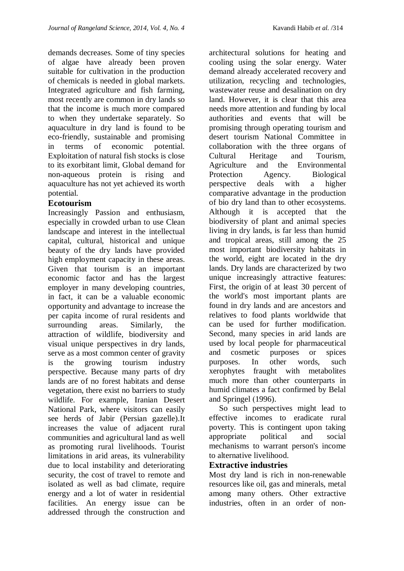demands decreases. Some of tiny species of algae have already been proven suitable for cultivation in the production of chemicals is needed in global markets. Integrated agriculture and fish farming, most recently are common in dry lands so that the income is much more compared to when they undertake separately. So aquaculture in dry land is found to be eco-friendly, sustainable and promising in terms of economic potential. Exploitation of natural fish stocks is close to its exorbitant limit, Global demand for non-aqueous protein is rising and aquaculture has not yet achieved its worth potential.

#### **[Ecotourism](https://www.google.com/url?sa=t&rct=j&q=&esrc=s&source=web&cd=2&ved=0CC4QFjAB&url=https%3A%2F%2Fwww.ecotourism.org%2Fwhat-is-ecotourism&ei=J6lCU-cfkZOGB-_PgcAG&usg=AFQjCNE3MoFuk3Ga0yEIyk00hYPyznP2bw&sig2=2U2nG_nrE-FyS96muFb-yA&bvm=bv.64125504,d.bGE)**

Increasingly Passion and enthusiasm, especially in crowded urban to use Clean landscape and interest in the intellectual capital, cultural, historical and unique beauty of the dry lands have provided high employment capacity in these areas. Given that tourism is an important economic factor and has the largest employer in many developing countries, in fact, it can be a valuable economic opportunity and advantage to increase the per capita income of rural residents and surrounding areas. Similarly, the attraction of wildlife, biodiversity and visual unique perspectives in dry lands, serve as a most common center of gravity is the growing tourism industry perspective. Because many parts of dry lands are of no forest habitats and dense vegetation, there exist no barriers to study wildlife. For example, Iranian Desert National Park, where visitors can easily see herds of Jabir (Persian gazelle).It increases the value of adjacent rural communities and agricultural land as well as promoting rural livelihoods. Tourist limitations in arid areas, its vulnerability due to local instability and deteriorating security, the cost of travel to remote and isolated as well as bad climate, require energy and a lot of water in residential facilities. An energy issue can be addressed through the construction and

architectural solutions for heating and cooling using the solar energy. Water demand already accelerated recovery and utilization, recycling and technologies, wastewater reuse and desalination on dry land. However, it is clear that this area needs more attention and funding by local authorities and events that will be promising through operating tourism and desert tourism National Committee in collaboration with the three organs of Cultural Heritage and Tourism, Agriculture and the Environmental Protection Agency. Biological perspective deals with a higher comparative advantage in the production of bio dry land than to other ecosystems. Although it is accepted that the biodiversity of plant and animal species living in dry lands, is far less than humid and tropical areas, still among the 25 most important biodiversity habitats in the world, eight are located in the dry lands. Dry lands are characterized by two unique increasingly attractive features: First, the origin of at least 30 percent of the world's most important plants are found in dry lands and are ancestors and relatives to food plants worldwide that can be used for further modification. Second, many species in arid lands are used by local people for pharmaceutical and cosmetic purposes or spices purposes. In other words, such xerophytes fraught with metabolites much more than other counterparts in humid climates a fact confirmed by Belal and Springel (1996).

 So such perspectives might lead to effective incomes to eradicate rural poverty. This is contingent upon taking appropriate political and social mechanisms to warrant person's income to alternative livelihood.

#### **Extractive industries**

Most dry land is rich in non-renewable resources like oil, gas and minerals, metal among many others. Other extractive industries, often in an order of non-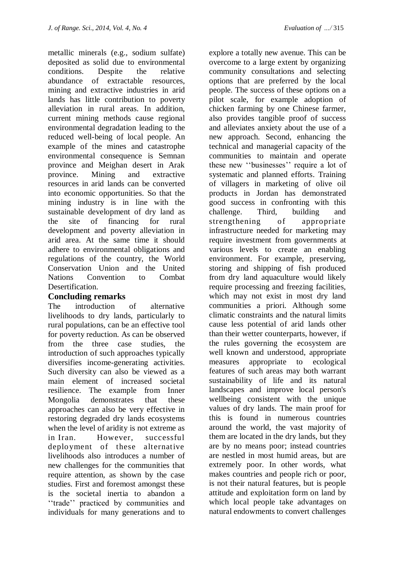metallic minerals (e.g., sodium sulfate) deposited as solid due to environmental conditions. Despite the relative abundance of extractable resources, mining and extractive industries in arid lands has little contribution to poverty alleviation in rural areas. In addition, current mining methods cause regional environmental degradation leading to the reduced well-being of local people. An example of the mines and catastrophe environmental consequence is Semnan province and Meighan desert in Arak province. Mining and extractive resources in arid lands can be converted into economic opportunities. So that the mining industry is in line with the sustainable development of dry land as the site of financing for rural development and poverty alleviation in arid area. At the same time it should adhere to environmental obligations and regulations of the country, the World Conservation Union and the United Nations Convention to Combat Desertification.

#### **Concluding remarks**

The introduction of alternative livelihoods to dry lands, particularly to rural populations, can be an effective tool for poverty reduction. As can be observed from the three case studies, the introduction of such approaches typically diversifies income-generating activities. Such diversity can also be viewed as a main element of increased societal resilience. The example from Inner Mongolia demonstrates that these approaches can also be very effective in restoring degraded dry lands ecosystems when the level of aridity is not extreme as in Iran. However, successful deployment of these alternative livelihoods also introduces a number of new challenges for the communities that require attention, as shown by the case studies. First and foremost amongst these is the societal inertia to abandon a "trade" practiced by communities and individuals for many generations and to explore a totally new avenue. This can be overcome to a large extent by organizing community consultations and selecting options that are preferred by the local people. The success of these options on a pilot scale, for example adoption of chicken farming by one Chinese farmer, also provides tangible proof of success and alleviates anxiety about the use of a new approach. Second, enhancing the technical and managerial capacity of the communities to maintain and operate these new "businesses" require a lot of systematic and planned efforts. Training of villagers in marketing of olive oil products in Jordan has demonstrated good success in confronting with this challenge. Third, building and strengthening of appropriate infrastructure needed for marketing may require investment from governments at various levels to create an enabling environment. For example, preserving, storing and shipping of fish produced from dry land aquaculture would likely require processing and freezing facilities, which may not exist in most dry land communities a priori. Although some climatic constraints and the natural limits cause less potential of arid lands other than their wetter counterparts, however, if the rules governing the ecosystem are well known and understood, appropriate measures appropriate to ecological features of such areas may both warrant sustainability of life and its natural landscapes and improve local person's wellbeing consistent with the unique values of dry lands. The main proof for this is found in numerous countries around the world, the vast majority of them are located in the dry lands, but they are by no means poor; instead countries are nestled in most humid areas, but are extremely poor. In other words, what makes countries and people rich or poor, is not their natural features, but is people attitude and exploitation form on land by which local people take advantages on natural endowments to convert challenges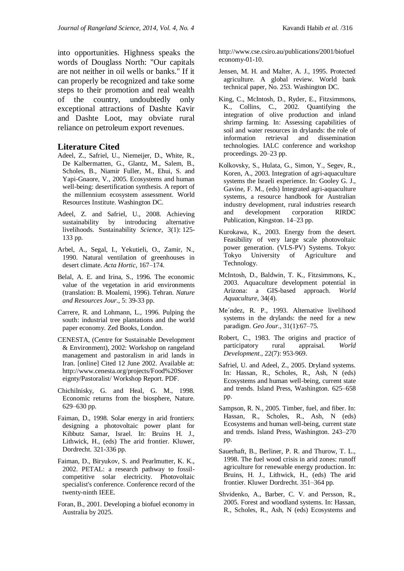into opportunities. Highness speaks the words of Douglass North: "Our capitals are not neither in oil wells or banks." If it can properly be recognized and take some steps to their promotion and real wealth of the country, undoubtedly only exceptional attractions of Dashte Kavir and Dashte Loot, may obviate rural reliance on petroleum export revenues.

#### **Literature Cited**

- Adeel, Z., Safriel, U., Niemeijer, D., White, R., De Kalbermatten, G., Glantz, M., Salem, B., Scholes, B., Niamir Fuller, M., Ehui, S. and Yapi-Gnaore, V., 2005. Ecosystems and human well-being: desertification synthesis. A report of the millennium ecosystem assessment. World Resources Institute. Washington DC.
- Adeel, Z. and [Safriel,](http://link.springer.com/search?facet-author=%22Uriel+Safriel%22) U., 2008. Achieving sustainability by introducing alternative livelihoods. [Sustainability](http://link.springer.com/journal/11625) *Science*, 3(1): 125- 133 pp.
- Arbel, A., Segal, I., Yekutieli, O., Zamir, N., 1990. Natural ventilation of greenhouses in desert climate. *Acta Hortic*, 167–174.
- Belal, A. E. and Irina, S., 1996. The economic value of the vegetation in arid environments (translation: B. Moalemi, 1996). Tehran. *Nature and Resources Jour*., 5: 39-33 pp.
- Carrere, R. and Lohmann, L., 1996. Pulping the south: industrial tree plantations and the world paper economy. Zed Books, London.
- CENESTA, (Centre for Sustainable Development & Environment), 2002: Workshop on rangeland management and pastoralism in arid lands in Iran. [online] Cited 12 June 2002. Available at: [http://www.cenesta.org/projects/Food%20Sover](http://www.cenesta.org/projects/Food%20Sovereignty/Pastoralist/) [eignty/Pastoralist/](http://www.cenesta.org/projects/Food%20Sovereignty/Pastoralist/) Workshop Report. PDF.
- Chichilnisky, G. and Heal, G. M., 1998. Economic returns from the biosphere, Nature. 629–630 pp.
- Faiman, D., 1998. Solar energy in arid frontiers: designing a photovoltaic power plant for Kibbutz Samar, Israel. In: Bruins H. J., Lithwick, H., (eds) The arid frontier. Kluwer, Dordrecht. 321-336 pp.
- Faiman, D., Biryukov, S. and Pearlmutter, K. K., 2002. PETAL: a research pathway to fossilcompetitive solar electricity. Photovoltaic specialist's conference. Conference record of the twenty-ninth IEEE.
- Foran, B., 2001. Developing a biofuel economy in Australia by 2025.

[http://www.cse.csiro.au/publications/2001/biofuel](http://www.cse.csiro.au/publications/2001/biofueleconomy-01-10) [economy-01-10.](http://www.cse.csiro.au/publications/2001/biofueleconomy-01-10)

- Jensen, M. H. and Malter, A. J., 1995. Protected agriculture. A global review. World bank technical paper, No. 253. Washington DC.
- King, C., McIntosh, D., Ryder, E., Fitzsimmons, K., Collins, C., 2002. Quantifying the integration of olive production and inland shrimp farming. In: Assessing capabilities of soil and water resources in drylands: the role of information retrieval and dissemination technologies. IALC conference and workshop proceedings. 20–23 pp.
- Kolkovsky, S., Hulata, G., Simon, Y., Segev, R., Koren, A., 2003. Integration of agri-aquaculture systems the Israeli experience. In: Gooley G. J., Gavine, F. M., (eds) Integrated agri-aquaculture systems, a resource handbook for Australian industry development, rural industries research and development corporation RIRDC Publication, Kingston. 14–23 pp.
- Kurokawa, K., 2003. Energy from the desert. Feasibility of very large scale photovoltaic power generation. (VLS-PV) Systems. Tokyo: Tokyo University of Agriculture and Technology.
- McIntosh, D., Baldwin, T. K., Fitzsimmons, K., 2003. Aquaculture development potential in Arizona: a GIS-based approach. *World Aquaculture*, 34(4).
- Me´ndez, R. P., 1993. Alternative livelihood systems in the drylands: the need for a new paradigm. *Geo Jour.*, 31(1):67–75.
- Robert, C., 1983. The origins and practice of participatory rural appraisal. *World Development*., 22(7): 953-969.
- Safriel, U. and Adeel, Z., 2005. Dryland systems. In: Hassan, R., Scholes, R., Ash, N (eds) Ecosystems and human well-being, current state and trends. Island Press, Washington. 625–658 pp.
- Sampson, R. N., 2005. Timber, fuel, and fiber. In: Hassan, R., Scholes, R., Ash, N (eds) Ecosystems and human well-being, current state and trends. Island Press, Washington. 243–270 pp.
- Sauerhaft, B., Berliner, P. R. and Thurow, T. L., 1998. The fuel wood crisis in arid zones: runoff agriculture for renewable energy production. In: Bruins, H. J., Lithwick, H., (eds) The arid frontier. Kluwer Dordrecht. 351–364 pp.
- Shvidenko, A., Barber, C. V. and Persson, R., 2005. Forest and woodland systems. In: Hassan, R., Scholes, R., Ash, N (eds) Ecosystems and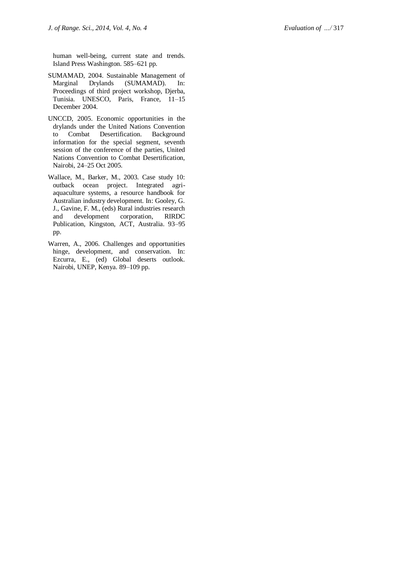human well -being, current state and trends. Island Press Washington. 585 –621 pp.

- SUMAMAD, 2004. Sustainable Management of Marginal Drylands (SUMAMAD). In: Proceedings of third project workshop, Djerba, Tunisia. UNESCO, Paris, France, 11 –15 December 2004.
- UNCCD, 2005. Economic opportunities in the drylands under the United Nations Convention to Combat Desertification. Background information for the special segment, seventh session of the conference of the parties, United Nations Convention to Combat Desertification, Nairobi, 24 –25 Oct 2005.
- Wallace, M., Barker, M., 2003. Case study 10: outback ocean project. Integrated agri aquaculture systems, a resource handbook for Australian industry development. In: Gooley, G. J., Gavine, F. M., (eds) Rural industries research and development corporation, RIRDC Publication, Kingston, ACT, Australia. 93 –95 pp.
- Warren, A., 2006. Challenges and opportunities hinge, development, and conservation. In: Ezcurra, E., (ed) Global deserts outlook. Nairobi, UNEP, Kenya. 89 –109 pp.